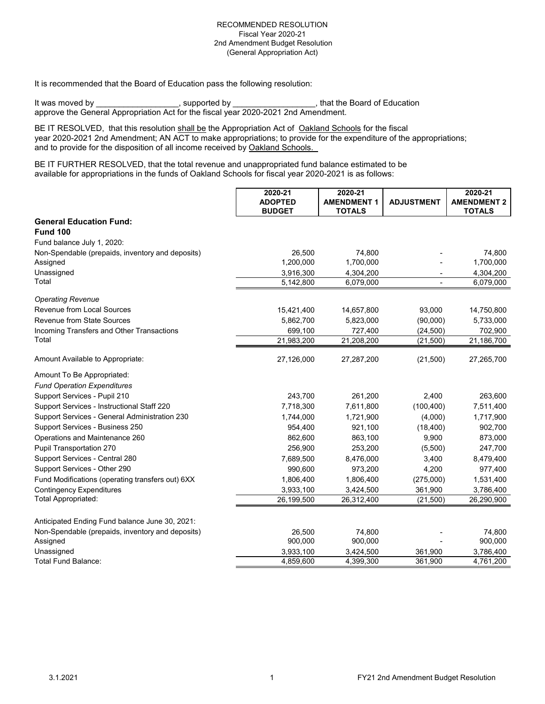It is recommended that the Board of Education pass the following resolution:

It was moved by \_\_\_\_\_\_\_\_\_\_\_\_\_\_\_\_\_\_, supported by \_\_\_\_\_\_\_\_\_\_\_\_\_\_\_\_\_, that the Board of Education approve the General Appropriation Act for the fiscal year 2020-2021 2nd Amendment.

BE IT RESOLVED, that this resolution shall be the Appropriation Act of Oakland Schools for the fiscal year 2020-2021 2nd Amendment; AN ACT to make appropriations; to provide for the expenditure of the appropriations; and to provide for the disposition of all income received by Oakland Schools.

BE IT FURTHER RESOLVED, that the total revenue and unappropriated fund balance estimated to be available for appropriations in the funds of Oakland Schools for fiscal year 2020-2021 is as follows:

|                                                  | 2020-21                         | 2020-21                             |                   | 2020-21                             |
|--------------------------------------------------|---------------------------------|-------------------------------------|-------------------|-------------------------------------|
|                                                  | <b>ADOPTED</b><br><b>BUDGET</b> | <b>AMENDMENT 1</b><br><b>TOTALS</b> | <b>ADJUSTMENT</b> | <b>AMENDMENT 2</b><br><b>TOTALS</b> |
| <b>General Education Fund:</b>                   |                                 |                                     |                   |                                     |
| <b>Fund 100</b>                                  |                                 |                                     |                   |                                     |
| Fund balance July 1, 2020:                       |                                 |                                     |                   |                                     |
| Non-Spendable (prepaids, inventory and deposits) | 26,500                          | 74,800                              |                   | 74,800                              |
| Assigned                                         | 1,200,000                       | 1,700,000                           |                   | 1,700,000                           |
| Unassigned                                       | 3,916,300                       | 4,304,200                           |                   | 4,304,200                           |
| Total                                            | 5,142,800                       | 6,079,000                           |                   | 6,079,000                           |
| <b>Operating Revenue</b>                         |                                 |                                     |                   |                                     |
| <b>Revenue from Local Sources</b>                | 15,421,400                      | 14,657,800                          | 93,000            | 14,750,800                          |
| Revenue from State Sources                       | 5,862,700                       | 5,823,000                           | (90,000)          | 5,733,000                           |
| Incoming Transfers and Other Transactions        | 699,100                         | 727,400                             | (24, 500)         | 702,900                             |
| Total                                            | 21,983,200                      | 21,208,200                          | (21, 500)         | 21,186,700                          |
| Amount Available to Appropriate:                 | 27,126,000                      | 27,287,200                          | (21, 500)         | 27,265,700                          |
| Amount To Be Appropriated:                       |                                 |                                     |                   |                                     |
| <b>Fund Operation Expenditures</b>               |                                 |                                     |                   |                                     |
| Support Services - Pupil 210                     | 243,700                         | 261,200                             | 2,400             | 263,600                             |
| Support Services - Instructional Staff 220       | 7,718,300                       | 7,611,800                           | (100, 400)        | 7,511,400                           |
| Support Services - General Administration 230    | 1,744,000                       | 1,721,900                           | (4,000)           | 1,717,900                           |
| Support Services - Business 250                  | 954,400                         | 921,100                             | (18,400)          | 902,700                             |
| Operations and Maintenance 260                   | 862,600                         | 863,100                             | 9,900             | 873,000                             |
| Pupil Transportation 270                         | 256,900                         | 253,200                             | (5,500)           | 247,700                             |
| Support Services - Central 280                   | 7,689,500                       | 8,476,000                           | 3,400             | 8,479,400                           |
| Support Services - Other 290                     | 990,600                         | 973,200                             | 4,200             | 977,400                             |
| Fund Modifications (operating transfers out) 6XX | 1,806,400                       | 1,806,400                           | (275,000)         | 1,531,400                           |
| <b>Contingency Expenditures</b>                  | 3,933,100                       | 3,424,500                           | 361,900           | 3,786,400                           |
| Total Appropriated:                              | 26,199,500                      | 26,312,400                          | (21, 500)         | 26,290,900                          |
| Anticipated Ending Fund balance June 30, 2021:   |                                 |                                     |                   |                                     |
| Non-Spendable (prepaids, inventory and deposits) | 26,500                          | 74,800                              |                   | 74,800                              |
| Assigned                                         | 900,000                         | 900,000                             |                   | 900,000                             |
| Unassigned                                       | 3,933,100                       | 3,424,500                           | 361,900           | 3,786,400                           |
| Total Fund Balance:                              | 4,859,600                       | 4,399,300                           | 361,900           | 4,761,200                           |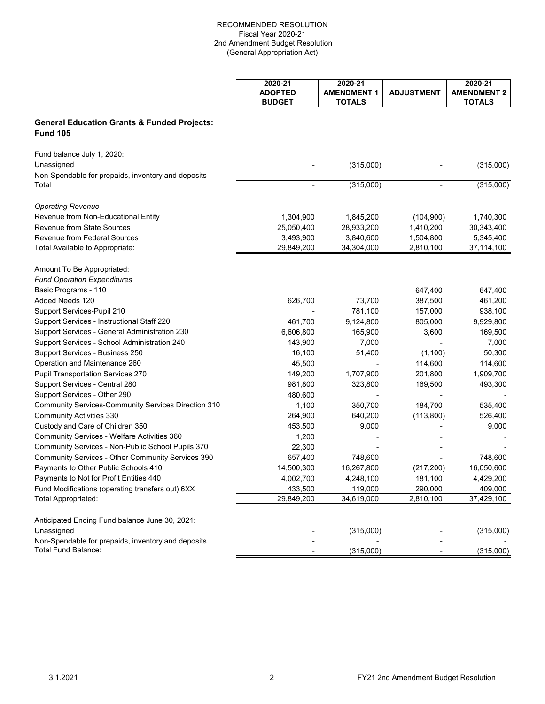|                                                                           | 2020-21<br><b>ADOPTED</b><br><b>BUDGET</b> | 2020-21<br><b>AMENDMENT 1</b><br><b>TOTALS</b> | <b>ADJUSTMENT</b>        | 2020-21<br><b>AMENDMENT 2</b><br><b>TOTALS</b> |
|---------------------------------------------------------------------------|--------------------------------------------|------------------------------------------------|--------------------------|------------------------------------------------|
| <b>General Education Grants &amp; Funded Projects:</b><br><b>Fund 105</b> |                                            |                                                |                          |                                                |
| Fund balance July 1, 2020:<br>Unassigned                                  |                                            | (315,000)                                      |                          | (315,000)                                      |
| Non-Spendable for prepaids, inventory and deposits<br>Total               | ÷,                                         | (315,000)                                      | ÷,                       | (315,000)                                      |
| <b>Operating Revenue</b>                                                  |                                            |                                                |                          |                                                |
| Revenue from Non-Educational Entity                                       | 1,304,900                                  | 1,845,200                                      | (104,900)                | 1,740,300                                      |
| <b>Revenue from State Sources</b>                                         | 25,050,400                                 | 28,933,200                                     | 1,410,200                | 30,343,400                                     |
| <b>Revenue from Federal Sources</b>                                       | 3,493,900                                  | 3,840,600                                      | 1,504,800                | 5,345,400                                      |
| Total Available to Appropriate:                                           | 29,849,200                                 | 34,304,000                                     | 2,810,100                | 37,114,100                                     |
| Amount To Be Appropriated:                                                |                                            |                                                |                          |                                                |
| <b>Fund Operation Expenditures</b>                                        |                                            |                                                |                          |                                                |
| Basic Programs - 110                                                      |                                            |                                                | 647,400                  | 647,400                                        |
| Added Needs 120                                                           | 626,700                                    | 73,700                                         | 387,500                  | 461,200                                        |
| Support Services-Pupil 210                                                |                                            | 781,100                                        | 157,000                  | 938,100                                        |
| Support Services - Instructional Staff 220                                | 461,700                                    | 9,124,800                                      | 805,000                  | 9,929,800                                      |
| Support Services - General Administration 230                             | 6,606,800                                  | 165,900                                        | 3,600                    | 169,500                                        |
| Support Services - School Administration 240                              | 143,900                                    | 7,000                                          |                          | 7,000                                          |
| Support Services - Business 250                                           | 16,100                                     | 51,400                                         | (1,100)                  | 50,300                                         |
| Operation and Maintenance 260                                             | 45,500                                     |                                                | 114,600                  | 114,600                                        |
| <b>Pupil Transportation Services 270</b>                                  | 149,200                                    | 1,707,900                                      | 201,800                  | 1,909,700                                      |
| Support Services - Central 280                                            | 981,800                                    | 323,800                                        | 169,500                  | 493,300                                        |
| Support Services - Other 290                                              | 480,600                                    |                                                |                          |                                                |
| <b>Community Services-Community Services Direction 310</b>                | 1,100                                      | 350,700                                        | 184,700                  | 535,400                                        |
| <b>Community Activities 330</b>                                           | 264,900                                    | 640,200                                        | (113,800)                | 526,400                                        |
| Custody and Care of Children 350                                          | 453,500                                    | 9,000                                          |                          | 9,000                                          |
| <b>Community Services - Welfare Activities 360</b>                        | 1,200                                      |                                                |                          |                                                |
| Community Services - Non-Public School Pupils 370                         | 22,300                                     |                                                |                          |                                                |
| Community Services - Other Community Services 390                         | 657,400                                    | 748,600                                        |                          | 748,600                                        |
| Payments to Other Public Schools 410                                      | 14,500,300                                 | 16,267,800                                     | (217, 200)               | 16,050,600                                     |
| Payments to Not for Profit Entities 440                                   | 4,002,700                                  | 4,248,100                                      | 181,100                  | 4,429,200                                      |
| Fund Modifications (operating transfers out) 6XX                          | 433,500                                    | 119,000                                        | 290,000                  | 409,000                                        |
| Total Appropriated:                                                       | 29,849,200                                 | 34,619,000                                     | 2,810,100                | 37,429,100                                     |
| Anticipated Ending Fund balance June 30, 2021:                            |                                            |                                                |                          |                                                |
| Unassigned                                                                |                                            | (315,000)                                      |                          | (315,000)                                      |
| Non-Spendable for prepaids, inventory and deposits                        |                                            |                                                |                          |                                                |
| Total Fund Balance:                                                       |                                            | (315,000)                                      | $\overline{\phantom{a}}$ | (315,000)                                      |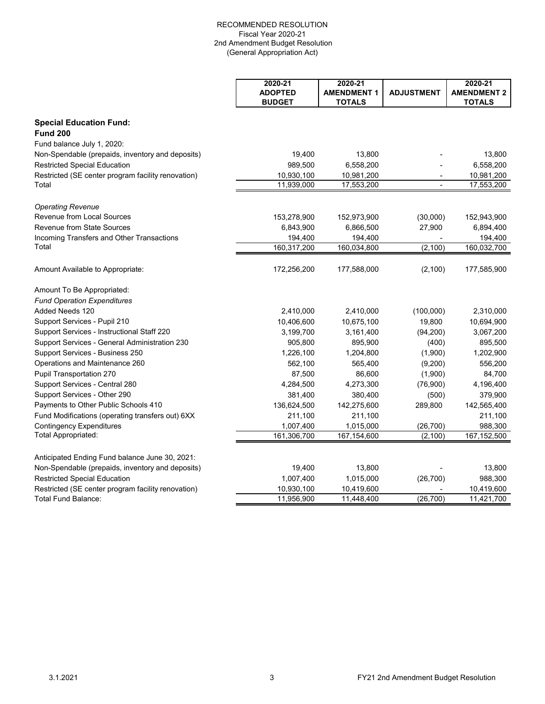|                                                             | 2020-21<br><b>ADOPTED</b><br><b>BUDGET</b> | 2020-21<br><b>AMENDMENT 1</b><br><b>TOTALS</b> | <b>ADJUSTMENT</b> | 2020-21<br><b>AMENDMENT 2</b><br><b>TOTALS</b> |
|-------------------------------------------------------------|--------------------------------------------|------------------------------------------------|-------------------|------------------------------------------------|
| <b>Special Education Fund:</b><br><b>Fund 200</b>           |                                            |                                                |                   |                                                |
| Fund balance July 1, 2020:                                  |                                            |                                                |                   |                                                |
| Non-Spendable (prepaids, inventory and deposits)            | 19,400                                     | 13,800                                         |                   | 13,800                                         |
| <b>Restricted Special Education</b>                         | 989,500                                    | 6,558,200                                      |                   | 6,558,200                                      |
| Restricted (SE center program facility renovation)<br>Total | 10,930,100<br>11,939,000                   | 10,981,200<br>17,553,200                       |                   | 10,981,200<br>17,553,200                       |
| <b>Operating Revenue</b>                                    |                                            |                                                |                   |                                                |
| <b>Revenue from Local Sources</b>                           | 153,278,900                                | 152,973,900                                    | (30,000)          | 152,943,900                                    |
| <b>Revenue from State Sources</b>                           | 6,843,900                                  | 6,866,500                                      | 27,900            | 6,894,400                                      |
| Incoming Transfers and Other Transactions                   | 194,400                                    | 194,400                                        |                   | 194,400                                        |
| Total                                                       | 160,317,200                                | 160,034,800                                    | (2, 100)          | 160,032,700                                    |
| Amount Available to Appropriate:                            | 172,256,200                                | 177,588,000                                    | (2, 100)          | 177,585,900                                    |
| Amount To Be Appropriated:                                  |                                            |                                                |                   |                                                |
| <b>Fund Operation Expenditures</b>                          |                                            |                                                |                   |                                                |
| Added Needs 120                                             | 2,410,000                                  | 2,410,000                                      | (100,000)         | 2,310,000                                      |
| Support Services - Pupil 210                                | 10,406,600                                 | 10,675,100                                     | 19,800            | 10,694,900                                     |
| Support Services - Instructional Staff 220                  | 3,199,700                                  | 3,161,400                                      | (94, 200)         | 3,067,200                                      |
| Support Services - General Administration 230               | 905,800                                    | 895,900                                        | (400)             | 895,500                                        |
| Support Services - Business 250                             | 1,226,100                                  | 1,204,800                                      | (1,900)           | 1,202,900                                      |
| Operations and Maintenance 260                              | 562,100                                    | 565,400                                        | (9,200)           | 556,200                                        |
| <b>Pupil Transportation 270</b>                             | 87,500                                     | 86,600                                         | (1,900)           | 84,700                                         |
| Support Services - Central 280                              | 4,284,500                                  | 4,273,300                                      | (76,900)          | 4,196,400                                      |
| Support Services - Other 290                                | 381,400                                    | 380,400                                        | (500)             | 379,900                                        |
| Payments to Other Public Schools 410                        | 136,624,500                                | 142,275,600                                    | 289,800           | 142,565,400                                    |
| Fund Modifications (operating transfers out) 6XX            | 211,100                                    | 211,100                                        |                   | 211,100                                        |
| <b>Contingency Expenditures</b>                             | 1,007,400                                  | 1,015,000                                      | (26, 700)         | 988,300                                        |
| Total Appropriated:                                         | 161,306,700                                | 167, 154, 600                                  | (2, 100)          | 167,152,500                                    |
| Anticipated Ending Fund balance June 30, 2021:              |                                            |                                                |                   |                                                |
| Non-Spendable (prepaids, inventory and deposits)            | 19,400                                     | 13,800                                         |                   | 13,800                                         |
| <b>Restricted Special Education</b>                         | 1,007,400                                  | 1,015,000                                      | (26, 700)         | 988,300                                        |
| Restricted (SE center program facility renovation)          | 10,930,100                                 | 10,419,600                                     |                   | 10,419,600                                     |
| Total Fund Balance:                                         | 11,956,900                                 | 11,448,400                                     | (26, 700)         | 11,421,700                                     |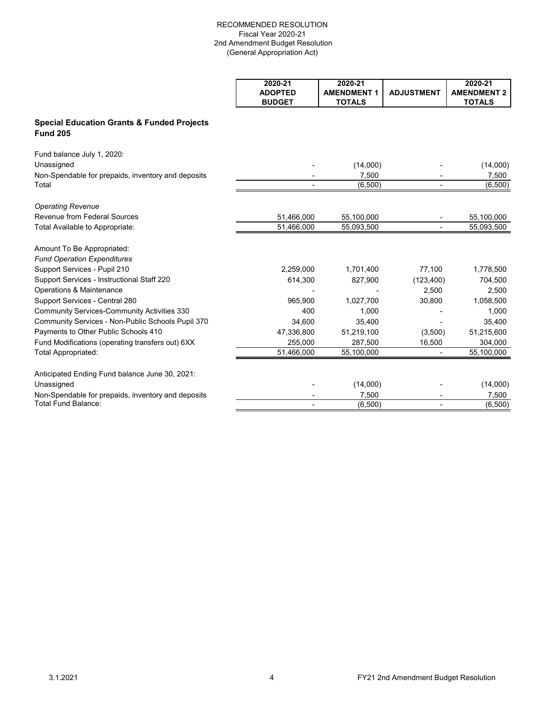|                                                                          | 2020-21<br><b>ADOPTED</b><br><b>BUDGET</b> | 2020-21<br><b>AMENDMENT 1</b><br><b>TOTALS</b> | <b>ADJUSTMENT</b> | 2020-21<br><b>AMENDMENT 2</b><br><b>TOTALS</b> |
|--------------------------------------------------------------------------|--------------------------------------------|------------------------------------------------|-------------------|------------------------------------------------|
| <b>Special Education Grants &amp; Funded Projects</b><br><b>Fund 205</b> |                                            |                                                |                   |                                                |
| Fund balance July 1, 2020:                                               |                                            |                                                |                   |                                                |
| Unassigned                                                               |                                            | (14,000)                                       |                   | (14,000)                                       |
| Non-Spendable for prepaids, inventory and deposits                       |                                            | 7,500                                          |                   | 7,500                                          |
| Total                                                                    | $\blacksquare$                             | (6,500)                                        | $\blacksquare$    | (6,500)                                        |
| <b>Operating Revenue</b>                                                 |                                            |                                                |                   |                                                |
| Revenue from Federal Sources                                             | 51,466,000                                 | 55,100,000                                     |                   | 55,100,000                                     |
| Total Available to Appropriate:                                          | 51,466,000                                 | 55,093,500                                     |                   | 55,093,500                                     |
| Amount To Be Appropriated:                                               |                                            |                                                |                   |                                                |
| <b>Fund Operation Expenditures</b>                                       |                                            |                                                |                   |                                                |
| Support Services - Pupil 210                                             | 2,259,000                                  | 1,701,400                                      | 77,100            | 1,778,500                                      |
| Support Services - Instructional Staff 220                               | 614,300                                    | 827,900                                        | (123, 400)        | 704,500                                        |
| Operations & Maintenance                                                 |                                            |                                                | 2,500             | 2,500                                          |
| Support Services - Central 280                                           | 965,900                                    | 1,027,700                                      | 30,800            | 1,058,500                                      |
| <b>Community Services-Community Activities 330</b>                       | 400                                        | 1,000                                          |                   | 1,000                                          |
| Community Services - Non-Public Schools Pupil 370                        | 34.600                                     | 35.400                                         |                   | 35.400                                         |
| Payments to Other Public Schools 410                                     | 47,336,800                                 | 51,219,100                                     | (3,500)           | 51,215,600                                     |
| Fund Modifications (operating transfers out) 6XX                         | 255,000                                    | 287,500                                        | 16,500            | 304,000                                        |
| Total Appropriated:                                                      | 51,466,000                                 | 55,100,000                                     |                   | 55,100,000                                     |
| Anticipated Ending Fund balance June 30, 2021:                           |                                            |                                                |                   |                                                |
| Unassigned                                                               |                                            | (14,000)                                       |                   | (14,000)                                       |
| Non-Spendable for prepaids, inventory and deposits                       |                                            | 7,500                                          |                   | 7,500                                          |
| Total Fund Balance:                                                      |                                            | (6,500)                                        |                   | (6,500)                                        |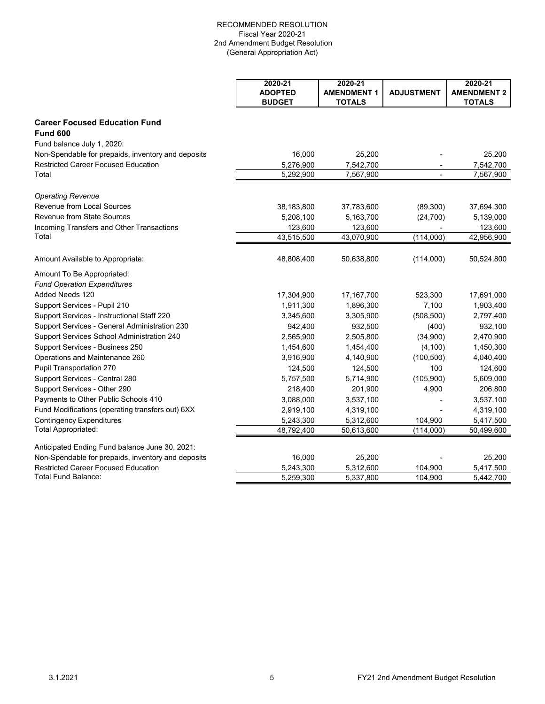|                                                    | 2020-21<br><b>ADOPTED</b> | 2020-21<br><b>AMENDMENT 1</b> | <b>ADJUSTMENT</b> | 2020-21<br><b>AMENDMENT 2</b> |
|----------------------------------------------------|---------------------------|-------------------------------|-------------------|-------------------------------|
|                                                    | <b>BUDGET</b>             | <b>TOTALS</b>                 |                   | <b>TOTALS</b>                 |
| <b>Career Focused Education Fund</b>               |                           |                               |                   |                               |
| <b>Fund 600</b>                                    |                           |                               |                   |                               |
| Fund balance July 1, 2020:                         |                           |                               |                   |                               |
| Non-Spendable for prepaids, inventory and deposits | 16,000                    | 25,200                        |                   | 25,200                        |
| <b>Restricted Career Focused Education</b>         | 5,276,900                 | 7,542,700                     | ÷,                | 7,542,700                     |
| Total                                              | 5,292,900                 | 7,567,900                     |                   | 7,567,900                     |
| <b>Operating Revenue</b>                           |                           |                               |                   |                               |
| <b>Revenue from Local Sources</b>                  | 38,183,800                | 37,783,600                    | (89, 300)         | 37,694,300                    |
| <b>Revenue from State Sources</b>                  | 5,208,100                 | 5,163,700                     | (24, 700)         | 5,139,000                     |
| Incoming Transfers and Other Transactions          | 123,600                   | 123,600                       |                   | 123,600                       |
| Total                                              | 43,515,500                | 43,070,900                    | (114,000)         | 42,956,900                    |
| Amount Available to Appropriate:                   | 48,808,400                | 50,638,800                    | (114,000)         | 50,524,800                    |
| Amount To Be Appropriated:                         |                           |                               |                   |                               |
| <b>Fund Operation Expenditures</b>                 |                           |                               |                   |                               |
| Added Needs 120                                    | 17,304,900                | 17,167,700                    | 523,300           | 17,691,000                    |
| Support Services - Pupil 210                       | 1,911,300                 | 1,896,300                     | 7,100             | 1,903,400                     |
| Support Services - Instructional Staff 220         | 3,345,600                 | 3,305,900                     | (508, 500)        | 2,797,400                     |
| Support Services - General Administration 230      | 942,400                   | 932,500                       | (400)             | 932,100                       |
| Support Services School Administration 240         | 2,565,900                 | 2,505,800                     | (34,900)          | 2,470,900                     |
| Support Services - Business 250                    | 1,454,600                 | 1,454,400                     | (4, 100)          | 1,450,300                     |
| Operations and Maintenance 260                     | 3,916,900                 | 4,140,900                     | (100, 500)        | 4,040,400                     |
| Pupil Transportation 270                           | 124,500                   | 124,500                       | 100               | 124,600                       |
| Support Services - Central 280                     | 5,757,500                 | 5,714,900                     | (105,900)         | 5,609,000                     |
| Support Services - Other 290                       | 218,400                   | 201,900                       | 4,900             | 206,800                       |
| Payments to Other Public Schools 410               | 3,088,000                 | 3,537,100                     |                   | 3,537,100                     |
| Fund Modifications (operating transfers out) 6XX   | 2,919,100                 | 4,319,100                     |                   | 4,319,100                     |
| <b>Contingency Expenditures</b>                    | 5,243,300                 | 5,312,600                     | 104,900           | 5,417,500                     |
| Total Appropriated:                                | 48,792,400                | 50,613,600                    | (114,000)         | 50,499,600                    |
| Anticipated Ending Fund balance June 30, 2021:     |                           |                               |                   |                               |
| Non-Spendable for prepaids, inventory and deposits | 16,000                    | 25,200                        |                   | 25,200                        |
| <b>Restricted Career Focused Education</b>         | 5,243,300                 | 5,312,600                     | 104,900           | 5,417,500                     |
| Total Fund Balance:                                | 5,259,300                 | 5,337,800                     | 104.900           | 5,442,700                     |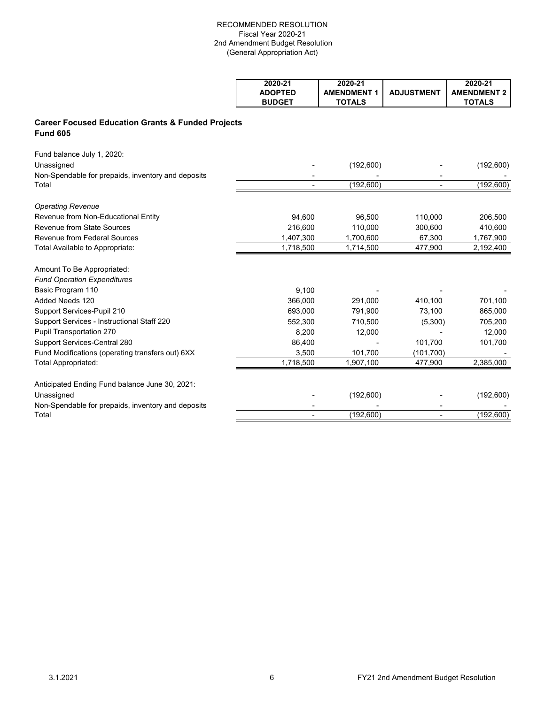| 2020-21        | 2020-21            |                   | 2020-21            |
|----------------|--------------------|-------------------|--------------------|
| <b>ADOPTED</b> | <b>AMENDMENT 1</b> | <b>ADJUSTMENT</b> | <b>AMENDMENT 2</b> |
| <b>BUDGET</b>  | <b>TOTALS</b>      |                   | <b>TOTALS</b>      |

# **Career Focused Education Grants & Funded Projects Fund 605**

| Fund balance July 1, 2020:<br>Unassigned<br>Non-Spendable for prepaids, inventory and deposits                     |           | (192,600)  |            | (192,600)  |
|--------------------------------------------------------------------------------------------------------------------|-----------|------------|------------|------------|
| Total                                                                                                              |           | (192,600)  |            | (192, 600) |
| <b>Operating Revenue</b>                                                                                           |           |            |            |            |
| Revenue from Non-Educational Entity                                                                                | 94,600    | 96,500     | 110,000    | 206,500    |
| Revenue from State Sources                                                                                         | 216,600   | 110,000    | 300,600    | 410,600    |
| <b>Revenue from Federal Sources</b>                                                                                | 1,407,300 | 1,700,600  | 67.300     | 1,767,900  |
| Total Available to Appropriate:                                                                                    | 1,718,500 | 1,714,500  | 477,900    | 2,192,400  |
| Amount To Be Appropriated:                                                                                         |           |            |            |            |
| <b>Fund Operation Expenditures</b>                                                                                 |           |            |            |            |
| Basic Program 110                                                                                                  | 9,100     |            |            |            |
| Added Needs 120                                                                                                    | 366,000   | 291,000    | 410,100    | 701,100    |
| Support Services-Pupil 210                                                                                         | 693,000   | 791,900    | 73,100     | 865,000    |
| Support Services - Instructional Staff 220                                                                         | 552,300   | 710,500    | (5,300)    | 705,200    |
| Pupil Transportation 270                                                                                           | 8,200     | 12,000     |            | 12,000     |
| Support Services-Central 280                                                                                       | 86,400    |            | 101,700    | 101,700    |
| Fund Modifications (operating transfers out) 6XX                                                                   | 3,500     | 101,700    | (101, 700) |            |
| Total Appropriated:                                                                                                | 1,718,500 | 1,907,100  | 477,900    | 2,385,000  |
| Anticipated Ending Fund balance June 30, 2021:<br>Unassigned<br>Non-Spendable for prepaids, inventory and deposits |           | (192,600)  |            | (192,600)  |
| Total                                                                                                              |           | (192, 600) |            | (192, 600) |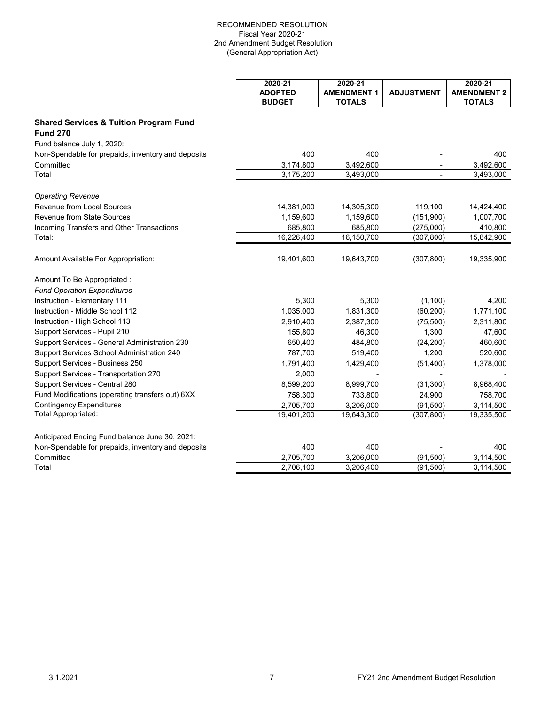|                                                    | 2020-21<br><b>ADOPTED</b> | 2020-21<br><b>AMENDMENT 1</b> | <b>ADJUSTMENT</b> | 2020-21<br><b>AMENDMENT 2</b> |
|----------------------------------------------------|---------------------------|-------------------------------|-------------------|-------------------------------|
|                                                    | <b>BUDGET</b>             | <b>TOTALS</b>                 |                   | <b>TOTALS</b>                 |
| <b>Shared Services &amp; Tuition Program Fund</b>  |                           |                               |                   |                               |
| <b>Fund 270</b>                                    |                           |                               |                   |                               |
| Fund balance July 1, 2020:                         |                           |                               |                   |                               |
| Non-Spendable for prepaids, inventory and deposits | 400                       | 400                           |                   | 400                           |
| Committed                                          | 3,174,800                 | 3,492,600                     |                   | 3,492,600                     |
| Total                                              | 3,175,200                 | 3,493,000                     | $\blacksquare$    | 3,493,000                     |
| <b>Operating Revenue</b>                           |                           |                               |                   |                               |
| Revenue from Local Sources                         | 14,381,000                | 14,305,300                    | 119,100           | 14,424,400                    |
| Revenue from State Sources                         | 1,159,600                 | 1,159,600                     | (151,900)         | 1,007,700                     |
| Incoming Transfers and Other Transactions          | 685,800                   | 685,800                       | (275,000)         | 410,800                       |
| Total:                                             | 16,226,400                | 16,150,700                    | (307, 800)        | 15,842,900                    |
| Amount Available For Appropriation:                | 19,401,600                | 19,643,700                    | (307, 800)        | 19,335,900                    |
| Amount To Be Appropriated :                        |                           |                               |                   |                               |
| <b>Fund Operation Expenditures</b>                 |                           |                               |                   |                               |
| Instruction - Elementary 111                       | 5,300                     | 5,300                         | (1, 100)          | 4,200                         |
| Instruction - Middle School 112                    | 1,035,000                 | 1,831,300                     | (60, 200)         | 1,771,100                     |
| Instruction - High School 113                      | 2,910,400                 | 2,387,300                     | (75,500)          | 2,311,800                     |
| Support Services - Pupil 210                       | 155,800                   | 46,300                        | 1,300             | 47,600                        |
| Support Services - General Administration 230      | 650,400                   | 484,800                       | (24, 200)         | 460,600                       |
| Support Services School Administration 240         | 787,700                   | 519,400                       | 1,200             | 520,600                       |
| Support Services - Business 250                    | 1,791,400                 | 1,429,400                     | (51, 400)         | 1,378,000                     |
| Support Services - Transportation 270              | 2,000                     |                               |                   |                               |
| Support Services - Central 280                     | 8,599,200                 | 8,999,700                     | (31, 300)         | 8,968,400                     |
| Fund Modifications (operating transfers out) 6XX   | 758,300                   | 733,800                       | 24,900            | 758,700                       |
| <b>Contingency Expenditures</b>                    | 2,705,700                 | 3,206,000                     | (91, 500)         | 3,114,500                     |
| Total Appropriated:                                | 19,401,200                | 19,643,300                    | (307, 800)        | 19,335,500                    |
| Anticipated Ending Fund balance June 30, 2021:     |                           |                               |                   |                               |
| Non-Spendable for prepaids, inventory and deposits | 400                       | 400                           |                   | 400                           |
| Committed                                          | 2,705,700                 | 3,206,000                     | (91, 500)         | 3,114,500                     |
| Total                                              | 2,706,100                 | 3,206,400                     | (91, 500)         | 3,114,500                     |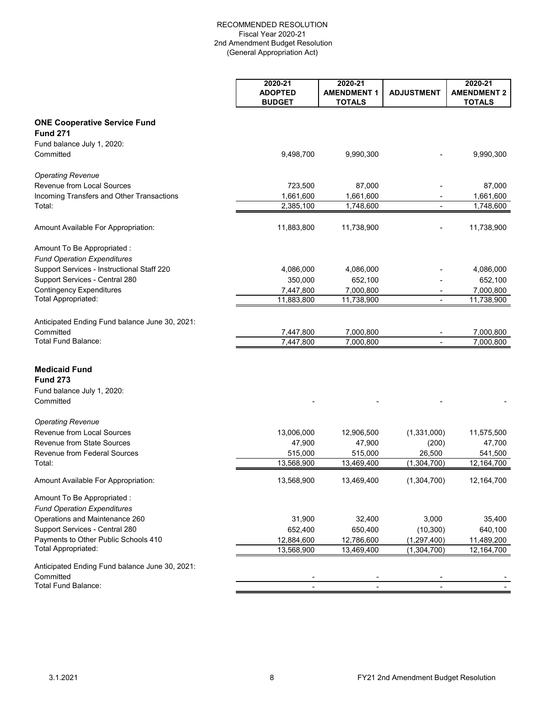| <b>Fund 271</b><br>Fund balance July 1, 2020:<br>Committed<br>9,498,700<br>9,990,300<br>9,990,300<br>87,000<br>723,500<br>87,000<br>1,661,600<br>1,661,600<br>1,661,600<br>$\overline{\phantom{a}}$<br>2,385,100<br>1,748,600<br>1,748,600<br>$\overline{\phantom{a}}$<br>11,883,800<br>11,738,900<br>11,738,900<br><b>Fund Operation Expenditures</b><br>Support Services - Instructional Staff 220<br>4,086,000<br>4,086,000<br>4,086,000<br>Support Services - Central 280<br>350,000<br>652,100<br>652,100<br><b>Contingency Expenditures</b><br>7,447,800<br>7,000,800<br>7,000,800<br>Total Appropriated:<br>11,883,800<br>11,738,900<br>11,738,900<br>7,447,800<br>7,000,800<br>7,000,800<br>Total Fund Balance:<br>7,447,800<br>7,000,800<br>7,000,800<br>Fund balance July 1, 2020:<br>13,006,000<br>(1,331,000)<br>12,906,500<br>11,575,500<br>47,900<br>47,900<br>(200)<br>47,700<br>515,000<br>515,000<br>26,500<br>541,500<br>$\overline{12}$ , 164, 700<br>13,568,900<br>13,469,400<br>(1, 304, 700)<br>13,568,900<br>13,469,400<br>(1,304,700)<br>12,164,700<br>Operations and Maintenance 260<br>31,900<br>32,400<br>3,000<br>35,400<br>Support Services - Central 280<br>652,400<br>650,400<br>(10, 300)<br>640,100<br>Payments to Other Public Schools 410<br>12,884,600<br>12,786,600<br>(1, 297, 400)<br>11,489,200<br>Total Appropriated:<br>13,568,900<br>13,469,400<br>(1,304,700)<br>12,164,700<br>Anticipated Ending Fund balance June 30, 2021: |                                                | 2020-21<br><b>ADOPTED</b><br><b>BUDGET</b> | 2020-21<br><b>AMENDMENT 1</b><br><b>TOTALS</b> | <b>ADJUSTMENT</b> | 2020-21<br><b>AMENDMENT 2</b><br><b>TOTALS</b> |
|---------------------------------------------------------------------------------------------------------------------------------------------------------------------------------------------------------------------------------------------------------------------------------------------------------------------------------------------------------------------------------------------------------------------------------------------------------------------------------------------------------------------------------------------------------------------------------------------------------------------------------------------------------------------------------------------------------------------------------------------------------------------------------------------------------------------------------------------------------------------------------------------------------------------------------------------------------------------------------------------------------------------------------------------------------------------------------------------------------------------------------------------------------------------------------------------------------------------------------------------------------------------------------------------------------------------------------------------------------------------------------------------------------------------------------------------------------------------------|------------------------------------------------|--------------------------------------------|------------------------------------------------|-------------------|------------------------------------------------|
|                                                                                                                                                                                                                                                                                                                                                                                                                                                                                                                                                                                                                                                                                                                                                                                                                                                                                                                                                                                                                                                                                                                                                                                                                                                                                                                                                                                                                                                                           | <b>ONE Cooperative Service Fund</b>            |                                            |                                                |                   |                                                |
|                                                                                                                                                                                                                                                                                                                                                                                                                                                                                                                                                                                                                                                                                                                                                                                                                                                                                                                                                                                                                                                                                                                                                                                                                                                                                                                                                                                                                                                                           |                                                |                                            |                                                |                   |                                                |
|                                                                                                                                                                                                                                                                                                                                                                                                                                                                                                                                                                                                                                                                                                                                                                                                                                                                                                                                                                                                                                                                                                                                                                                                                                                                                                                                                                                                                                                                           |                                                |                                            |                                                |                   |                                                |
|                                                                                                                                                                                                                                                                                                                                                                                                                                                                                                                                                                                                                                                                                                                                                                                                                                                                                                                                                                                                                                                                                                                                                                                                                                                                                                                                                                                                                                                                           |                                                |                                            |                                                |                   |                                                |
|                                                                                                                                                                                                                                                                                                                                                                                                                                                                                                                                                                                                                                                                                                                                                                                                                                                                                                                                                                                                                                                                                                                                                                                                                                                                                                                                                                                                                                                                           | <b>Operating Revenue</b>                       |                                            |                                                |                   |                                                |
|                                                                                                                                                                                                                                                                                                                                                                                                                                                                                                                                                                                                                                                                                                                                                                                                                                                                                                                                                                                                                                                                                                                                                                                                                                                                                                                                                                                                                                                                           | <b>Revenue from Local Sources</b>              |                                            |                                                |                   |                                                |
|                                                                                                                                                                                                                                                                                                                                                                                                                                                                                                                                                                                                                                                                                                                                                                                                                                                                                                                                                                                                                                                                                                                                                                                                                                                                                                                                                                                                                                                                           | Incoming Transfers and Other Transactions      |                                            |                                                |                   |                                                |
|                                                                                                                                                                                                                                                                                                                                                                                                                                                                                                                                                                                                                                                                                                                                                                                                                                                                                                                                                                                                                                                                                                                                                                                                                                                                                                                                                                                                                                                                           | Total:                                         |                                            |                                                |                   |                                                |
|                                                                                                                                                                                                                                                                                                                                                                                                                                                                                                                                                                                                                                                                                                                                                                                                                                                                                                                                                                                                                                                                                                                                                                                                                                                                                                                                                                                                                                                                           | Amount Available For Appropriation:            |                                            |                                                |                   |                                                |
|                                                                                                                                                                                                                                                                                                                                                                                                                                                                                                                                                                                                                                                                                                                                                                                                                                                                                                                                                                                                                                                                                                                                                                                                                                                                                                                                                                                                                                                                           | Amount To Be Appropriated :                    |                                            |                                                |                   |                                                |
|                                                                                                                                                                                                                                                                                                                                                                                                                                                                                                                                                                                                                                                                                                                                                                                                                                                                                                                                                                                                                                                                                                                                                                                                                                                                                                                                                                                                                                                                           |                                                |                                            |                                                |                   |                                                |
|                                                                                                                                                                                                                                                                                                                                                                                                                                                                                                                                                                                                                                                                                                                                                                                                                                                                                                                                                                                                                                                                                                                                                                                                                                                                                                                                                                                                                                                                           |                                                |                                            |                                                |                   |                                                |
|                                                                                                                                                                                                                                                                                                                                                                                                                                                                                                                                                                                                                                                                                                                                                                                                                                                                                                                                                                                                                                                                                                                                                                                                                                                                                                                                                                                                                                                                           |                                                |                                            |                                                |                   |                                                |
|                                                                                                                                                                                                                                                                                                                                                                                                                                                                                                                                                                                                                                                                                                                                                                                                                                                                                                                                                                                                                                                                                                                                                                                                                                                                                                                                                                                                                                                                           |                                                |                                            |                                                |                   |                                                |
|                                                                                                                                                                                                                                                                                                                                                                                                                                                                                                                                                                                                                                                                                                                                                                                                                                                                                                                                                                                                                                                                                                                                                                                                                                                                                                                                                                                                                                                                           |                                                |                                            |                                                |                   |                                                |
|                                                                                                                                                                                                                                                                                                                                                                                                                                                                                                                                                                                                                                                                                                                                                                                                                                                                                                                                                                                                                                                                                                                                                                                                                                                                                                                                                                                                                                                                           | Anticipated Ending Fund balance June 30, 2021: |                                            |                                                |                   |                                                |
|                                                                                                                                                                                                                                                                                                                                                                                                                                                                                                                                                                                                                                                                                                                                                                                                                                                                                                                                                                                                                                                                                                                                                                                                                                                                                                                                                                                                                                                                           | Committed                                      |                                            |                                                |                   |                                                |
|                                                                                                                                                                                                                                                                                                                                                                                                                                                                                                                                                                                                                                                                                                                                                                                                                                                                                                                                                                                                                                                                                                                                                                                                                                                                                                                                                                                                                                                                           |                                                |                                            |                                                |                   |                                                |
|                                                                                                                                                                                                                                                                                                                                                                                                                                                                                                                                                                                                                                                                                                                                                                                                                                                                                                                                                                                                                                                                                                                                                                                                                                                                                                                                                                                                                                                                           | <b>Medicaid Fund</b><br><b>Fund 273</b>        |                                            |                                                |                   |                                                |
|                                                                                                                                                                                                                                                                                                                                                                                                                                                                                                                                                                                                                                                                                                                                                                                                                                                                                                                                                                                                                                                                                                                                                                                                                                                                                                                                                                                                                                                                           | Committed                                      |                                            |                                                |                   |                                                |
|                                                                                                                                                                                                                                                                                                                                                                                                                                                                                                                                                                                                                                                                                                                                                                                                                                                                                                                                                                                                                                                                                                                                                                                                                                                                                                                                                                                                                                                                           | <b>Operating Revenue</b>                       |                                            |                                                |                   |                                                |
|                                                                                                                                                                                                                                                                                                                                                                                                                                                                                                                                                                                                                                                                                                                                                                                                                                                                                                                                                                                                                                                                                                                                                                                                                                                                                                                                                                                                                                                                           | Revenue from Local Sources                     |                                            |                                                |                   |                                                |
|                                                                                                                                                                                                                                                                                                                                                                                                                                                                                                                                                                                                                                                                                                                                                                                                                                                                                                                                                                                                                                                                                                                                                                                                                                                                                                                                                                                                                                                                           | <b>Revenue from State Sources</b>              |                                            |                                                |                   |                                                |
|                                                                                                                                                                                                                                                                                                                                                                                                                                                                                                                                                                                                                                                                                                                                                                                                                                                                                                                                                                                                                                                                                                                                                                                                                                                                                                                                                                                                                                                                           | Revenue from Federal Sources                   |                                            |                                                |                   |                                                |
|                                                                                                                                                                                                                                                                                                                                                                                                                                                                                                                                                                                                                                                                                                                                                                                                                                                                                                                                                                                                                                                                                                                                                                                                                                                                                                                                                                                                                                                                           | Total:                                         |                                            |                                                |                   |                                                |
|                                                                                                                                                                                                                                                                                                                                                                                                                                                                                                                                                                                                                                                                                                                                                                                                                                                                                                                                                                                                                                                                                                                                                                                                                                                                                                                                                                                                                                                                           | Amount Available For Appropriation:            |                                            |                                                |                   |                                                |
|                                                                                                                                                                                                                                                                                                                                                                                                                                                                                                                                                                                                                                                                                                                                                                                                                                                                                                                                                                                                                                                                                                                                                                                                                                                                                                                                                                                                                                                                           | Amount To Be Appropriated :                    |                                            |                                                |                   |                                                |
|                                                                                                                                                                                                                                                                                                                                                                                                                                                                                                                                                                                                                                                                                                                                                                                                                                                                                                                                                                                                                                                                                                                                                                                                                                                                                                                                                                                                                                                                           | <b>Fund Operation Expenditures</b>             |                                            |                                                |                   |                                                |
|                                                                                                                                                                                                                                                                                                                                                                                                                                                                                                                                                                                                                                                                                                                                                                                                                                                                                                                                                                                                                                                                                                                                                                                                                                                                                                                                                                                                                                                                           |                                                |                                            |                                                |                   |                                                |
|                                                                                                                                                                                                                                                                                                                                                                                                                                                                                                                                                                                                                                                                                                                                                                                                                                                                                                                                                                                                                                                                                                                                                                                                                                                                                                                                                                                                                                                                           |                                                |                                            |                                                |                   |                                                |
|                                                                                                                                                                                                                                                                                                                                                                                                                                                                                                                                                                                                                                                                                                                                                                                                                                                                                                                                                                                                                                                                                                                                                                                                                                                                                                                                                                                                                                                                           |                                                |                                            |                                                |                   |                                                |
|                                                                                                                                                                                                                                                                                                                                                                                                                                                                                                                                                                                                                                                                                                                                                                                                                                                                                                                                                                                                                                                                                                                                                                                                                                                                                                                                                                                                                                                                           |                                                |                                            |                                                |                   |                                                |
|                                                                                                                                                                                                                                                                                                                                                                                                                                                                                                                                                                                                                                                                                                                                                                                                                                                                                                                                                                                                                                                                                                                                                                                                                                                                                                                                                                                                                                                                           |                                                |                                            |                                                |                   |                                                |
|                                                                                                                                                                                                                                                                                                                                                                                                                                                                                                                                                                                                                                                                                                                                                                                                                                                                                                                                                                                                                                                                                                                                                                                                                                                                                                                                                                                                                                                                           | Committed                                      |                                            |                                                |                   |                                                |
|                                                                                                                                                                                                                                                                                                                                                                                                                                                                                                                                                                                                                                                                                                                                                                                                                                                                                                                                                                                                                                                                                                                                                                                                                                                                                                                                                                                                                                                                           | Total Fund Balance:                            |                                            |                                                |                   |                                                |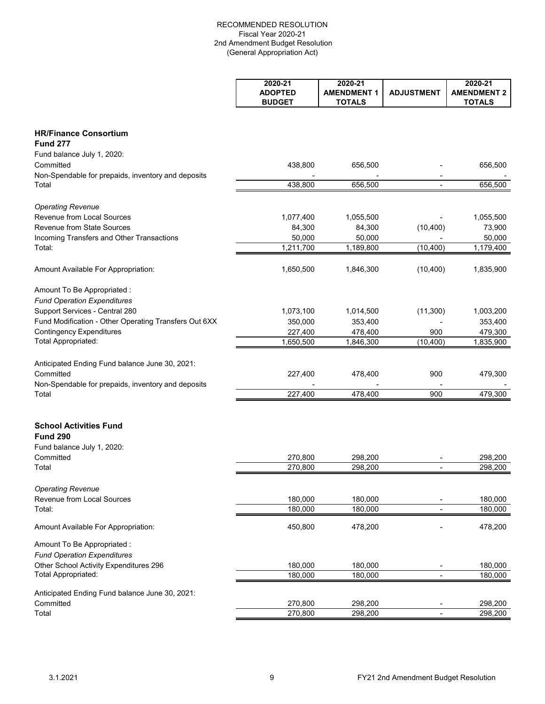|                                                       | 2020-21<br><b>ADOPTED</b><br><b>BUDGET</b> | 2020-21<br><b>AMENDMENT 1</b><br><b>TOTALS</b> | <b>ADJUSTMENT</b>        | 2020-21<br><b>AMENDMENT 2</b><br><b>TOTALS</b> |
|-------------------------------------------------------|--------------------------------------------|------------------------------------------------|--------------------------|------------------------------------------------|
|                                                       |                                            |                                                |                          |                                                |
| <b>HR/Finance Consortium</b><br><b>Fund 277</b>       |                                            |                                                |                          |                                                |
| Fund balance July 1, 2020:                            |                                            |                                                |                          |                                                |
| Committed                                             | 438,800                                    | 656,500                                        |                          | 656,500                                        |
| Non-Spendable for prepaids, inventory and deposits    |                                            |                                                |                          |                                                |
| Total                                                 | 438,800                                    | 656,500                                        |                          | 656,500                                        |
| <b>Operating Revenue</b>                              |                                            |                                                |                          |                                                |
| Revenue from Local Sources                            | 1,077,400                                  | 1,055,500                                      |                          | 1,055,500                                      |
| <b>Revenue from State Sources</b>                     | 84,300                                     | 84,300                                         | (10, 400)                | 73,900                                         |
| Incoming Transfers and Other Transactions             | 50,000                                     | 50,000                                         |                          | 50,000                                         |
| Total:                                                | 1,211,700                                  | 1,189,800                                      | (10, 400)                | 1,179,400                                      |
| Amount Available For Appropriation:                   | 1,650,500                                  | 1,846,300                                      | (10, 400)                | 1,835,900                                      |
| Amount To Be Appropriated :                           |                                            |                                                |                          |                                                |
| <b>Fund Operation Expenditures</b>                    |                                            |                                                |                          |                                                |
| Support Services - Central 280                        | 1,073,100                                  | 1,014,500                                      | (11, 300)                | 1,003,200                                      |
| Fund Modification - Other Operating Transfers Out 6XX | 350,000                                    | 353,400                                        |                          | 353,400                                        |
| <b>Contingency Expenditures</b>                       | 227,400                                    | 478,400                                        | 900                      | 479,300                                        |
| Total Appropriated:                                   | 1,650,500                                  | 1,846,300                                      | (10, 400)                | 1,835,900                                      |
| Anticipated Ending Fund balance June 30, 2021:        |                                            |                                                |                          |                                                |
| Committed                                             | 227,400                                    | 478,400                                        | 900                      | 479,300                                        |
| Non-Spendable for prepaids, inventory and deposits    |                                            |                                                |                          |                                                |
| Total                                                 | 227,400                                    | 478,400                                        | 900                      | 479,300                                        |
| <b>School Activities Fund</b>                         |                                            |                                                |                          |                                                |
| <b>Fund 290</b>                                       |                                            |                                                |                          |                                                |
| Fund balance July 1, 2020:                            |                                            |                                                |                          |                                                |
| Committed                                             | 270,800                                    | 298,200                                        |                          | 298,200                                        |
| Total                                                 | 270,800                                    | 298,200                                        |                          | 298,200                                        |
| <b>Operating Revenue</b>                              |                                            |                                                |                          |                                                |
| Revenue from Local Sources                            | 180,000                                    | 180,000                                        |                          | 180,000                                        |
| Total:                                                | 180,000                                    | 180,000                                        |                          | 180,000                                        |
| Amount Available For Appropriation:                   | 450,800                                    | 478,200                                        |                          | 478,200                                        |
| Amount To Be Appropriated :                           |                                            |                                                |                          |                                                |
| <b>Fund Operation Expenditures</b>                    |                                            |                                                |                          |                                                |
| Other School Activity Expenditures 296                | 180,000                                    | 180,000                                        |                          | 180,000                                        |
| Total Appropriated:                                   | 180,000                                    | 180,000                                        | $\overline{\phantom{a}}$ | 180,000                                        |
| Anticipated Ending Fund balance June 30, 2021:        |                                            |                                                |                          |                                                |
| Committed                                             | 270,800                                    | 298,200                                        |                          | 298,200                                        |
| Total                                                 | 270,800                                    | 298,200                                        | $\blacksquare$           | 298,200                                        |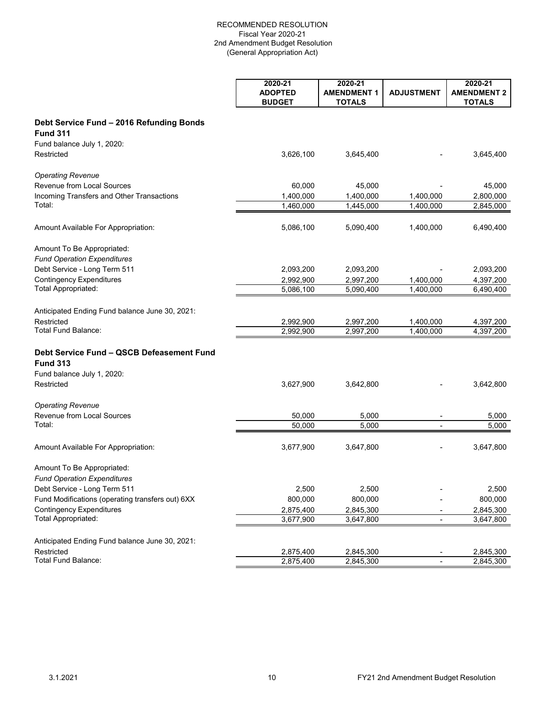|                                                             | 2020-21<br><b>ADOPTED</b> | 2020-21<br><b>AMENDMENT 1</b> | <b>ADJUSTMENT</b>        | 2020-21<br><b>AMENDMENT 2</b> |
|-------------------------------------------------------------|---------------------------|-------------------------------|--------------------------|-------------------------------|
|                                                             | <b>BUDGET</b>             | <b>TOTALS</b>                 |                          | <b>TOTALS</b>                 |
| Debt Service Fund - 2016 Refunding Bonds<br><b>Fund 311</b> |                           |                               |                          |                               |
| Fund balance July 1, 2020:                                  |                           |                               |                          |                               |
| Restricted                                                  | 3,626,100                 | 3,645,400                     |                          | 3,645,400                     |
| <b>Operating Revenue</b>                                    |                           |                               |                          |                               |
| Revenue from Local Sources                                  | 60,000                    | 45,000                        |                          | 45,000                        |
| Incoming Transfers and Other Transactions                   | 1,400,000                 | 1,400,000                     | 1,400,000                | 2,800,000                     |
| Total:                                                      | 1,460,000                 | 1,445,000                     | 1,400,000                | 2,845,000                     |
| Amount Available For Appropriation:                         | 5,086,100                 | 5,090,400                     | 1,400,000                | 6,490,400                     |
| Amount To Be Appropriated:                                  |                           |                               |                          |                               |
| <b>Fund Operation Expenditures</b>                          |                           |                               |                          |                               |
| Debt Service - Long Term 511                                | 2,093,200                 | 2,093,200                     |                          | 2,093,200                     |
| <b>Contingency Expenditures</b>                             | 2,992,900                 | 2,997,200                     | 1,400,000                | 4,397,200                     |
| Total Appropriated:                                         | 5,086,100                 | 5,090,400                     | 1,400,000                | 6,490,400                     |
| Anticipated Ending Fund balance June 30, 2021:              |                           |                               |                          |                               |
| Restricted                                                  | 2,992,900                 | 2,997,200                     | 1,400,000                | 4,397,200                     |
| Total Fund Balance:                                         | 2,992,900                 | 2,997,200                     | 1,400,000                | 4,397,200                     |
| Debt Service Fund - QSCB Defeasement Fund                   |                           |                               |                          |                               |
| <b>Fund 313</b>                                             |                           |                               |                          |                               |
| Fund balance July 1, 2020:                                  |                           |                               |                          |                               |
| Restricted                                                  | 3,627,900                 | 3,642,800                     |                          | 3,642,800                     |
| <b>Operating Revenue</b>                                    |                           |                               |                          |                               |
| <b>Revenue from Local Sources</b>                           | 50,000                    | 5,000                         |                          | 5,000                         |
| Total:                                                      | 50,000                    | 5,000                         | $\overline{\phantom{a}}$ | 5,000                         |
| Amount Available For Appropriation:                         | 3,677,900                 | 3,647,800                     |                          | 3,647,800                     |
| Amount To Be Appropriated:                                  |                           |                               |                          |                               |
| <b>Fund Operation Expenditures</b>                          |                           |                               |                          |                               |
| Debt Service - Long Term 511                                | 2,500                     | 2,500                         |                          | 2,500                         |
| Fund Modifications (operating transfers out) 6XX            | 800,000                   | 800,000                       |                          | 800,000                       |
| <b>Contingency Expenditures</b>                             | 2,875,400                 | 2,845,300                     |                          | 2,845,300                     |
| Total Appropriated:                                         | 3,677,900                 | 3,647,800                     | ٠                        | 3,647,800                     |
| Anticipated Ending Fund balance June 30, 2021:              |                           |                               |                          |                               |
| Restricted                                                  | 2,875,400                 | 2,845,300                     |                          | 2,845,300                     |
| <b>Total Fund Balance:</b>                                  | 2,875,400                 | 2,845,300                     |                          | 2,845,300                     |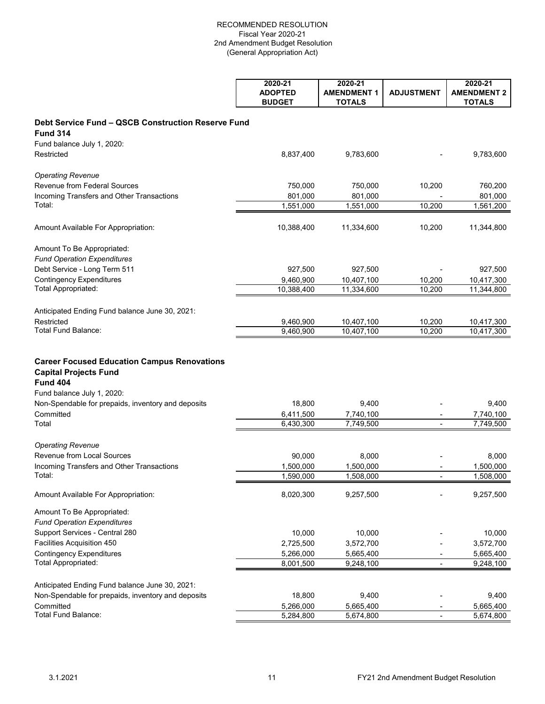|                                                                                                                                                                                           | 2020-21<br><b>ADOPTED</b><br><b>BUDGET</b> | 2020-21<br><b>AMENDMENT 1</b><br><b>TOTALS</b> | <b>ADJUSTMENT</b> | 2020-21<br><b>AMENDMENT 2</b><br><b>TOTALS</b> |
|-------------------------------------------------------------------------------------------------------------------------------------------------------------------------------------------|--------------------------------------------|------------------------------------------------|-------------------|------------------------------------------------|
| Debt Service Fund - QSCB Construction Reserve Fund                                                                                                                                        |                                            |                                                |                   |                                                |
| <b>Fund 314</b>                                                                                                                                                                           |                                            |                                                |                   |                                                |
| Fund balance July 1, 2020:                                                                                                                                                                |                                            |                                                |                   |                                                |
| Restricted                                                                                                                                                                                | 8,837,400                                  | 9,783,600                                      |                   | 9,783,600                                      |
| <b>Operating Revenue</b>                                                                                                                                                                  |                                            |                                                |                   |                                                |
| Revenue from Federal Sources                                                                                                                                                              | 750,000                                    | 750,000                                        | 10,200            | 760,200                                        |
| Incoming Transfers and Other Transactions                                                                                                                                                 | 801,000                                    | 801,000                                        |                   | 801,000                                        |
| Total:                                                                                                                                                                                    | 1,551,000                                  | 1,551,000                                      | 10,200            | 1,561,200                                      |
| Amount Available For Appropriation:                                                                                                                                                       | 10,388,400                                 | 11,334,600                                     | 10,200            | 11,344,800                                     |
| Amount To Be Appropriated:                                                                                                                                                                |                                            |                                                |                   |                                                |
| <b>Fund Operation Expenditures</b>                                                                                                                                                        |                                            |                                                |                   |                                                |
| Debt Service - Long Term 511                                                                                                                                                              | 927,500                                    | 927,500                                        |                   | 927,500                                        |
| <b>Contingency Expenditures</b>                                                                                                                                                           | 9,460,900                                  | 10,407,100                                     | 10,200            | 10,417,300                                     |
| Total Appropriated:                                                                                                                                                                       | 10,388,400                                 | 11,334,600                                     | 10,200            | 11,344,800                                     |
| Anticipated Ending Fund balance June 30, 2021:                                                                                                                                            |                                            |                                                |                   |                                                |
| Restricted                                                                                                                                                                                | 9,460,900                                  | 10,407,100                                     | 10,200            | 10,417,300                                     |
| Total Fund Balance:                                                                                                                                                                       | 9,460,900                                  | 10,407,100                                     | 10,200            | 10,417,300                                     |
| <b>Career Focused Education Campus Renovations</b><br><b>Capital Projects Fund</b><br><b>Fund 404</b><br>Fund balance July 1, 2020:<br>Non-Spendable for prepaids, inventory and deposits | 18,800                                     | 9,400                                          |                   | 9,400                                          |
| Committed                                                                                                                                                                                 | 6,411,500                                  | 7,740,100                                      |                   | 7,740,100                                      |
| Total                                                                                                                                                                                     | 6,430,300                                  | 7,749,500                                      |                   | 7,749,500                                      |
| <b>Operating Revenue</b>                                                                                                                                                                  |                                            |                                                |                   |                                                |
| <b>Revenue from Local Sources</b>                                                                                                                                                         | 90,000                                     | 8,000                                          |                   | 8,000                                          |
| Incoming Transfers and Other Transactions                                                                                                                                                 | 1,500,000                                  | 1,500,000                                      |                   | 1,500,000                                      |
| Total:                                                                                                                                                                                    | 1,590,000                                  | 1,508,000                                      |                   | 1,508,000                                      |
| Amount Available For Appropriation:                                                                                                                                                       | 8,020,300                                  | 9,257,500                                      |                   | 9,257,500                                      |
| Amount To Be Appropriated:<br><b>Fund Operation Expenditures</b>                                                                                                                          |                                            |                                                |                   |                                                |
| Support Services - Central 280                                                                                                                                                            | 10,000                                     | 10,000                                         |                   | 10,000                                         |
| Facilities Acquisition 450                                                                                                                                                                | 2,725,500                                  | 3,572,700                                      |                   | 3,572,700                                      |
| <b>Contingency Expenditures</b>                                                                                                                                                           | 5,266,000                                  | 5,665,400                                      |                   | 5,665,400                                      |
| Total Appropriated:                                                                                                                                                                       | 8,001,500                                  | 9,248,100                                      |                   | 9,248,100                                      |
| Anticipated Ending Fund balance June 30, 2021:                                                                                                                                            |                                            |                                                |                   |                                                |
| Non-Spendable for prepaids, inventory and deposits                                                                                                                                        | 18,800                                     | 9,400                                          |                   | 9,400                                          |
| Committed                                                                                                                                                                                 | 5,266,000                                  | 5,665,400                                      |                   | 5,665,400                                      |
| Total Fund Balance:                                                                                                                                                                       | 5,284,800                                  | 5,674,800                                      |                   | 5,674,800                                      |
|                                                                                                                                                                                           |                                            |                                                |                   |                                                |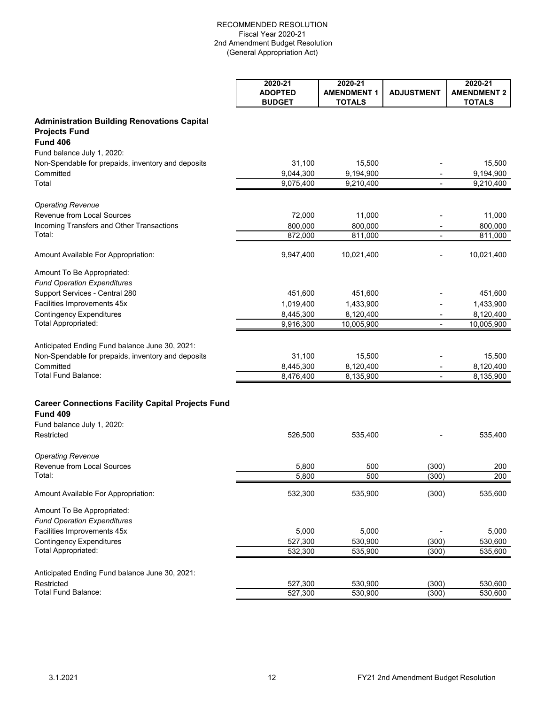|                                                                                               | 2020-21<br><b>ADOPTED</b><br><b>BUDGET</b> | 2020-21<br><b>AMENDMENT 1</b><br><b>TOTALS</b> | <b>ADJUSTMENT</b> | 2020-21<br><b>AMENDMENT 2</b><br><b>TOTALS</b> |
|-----------------------------------------------------------------------------------------------|--------------------------------------------|------------------------------------------------|-------------------|------------------------------------------------|
| <b>Administration Building Renovations Capital</b><br><b>Projects Fund</b><br><b>Fund 406</b> |                                            |                                                |                   |                                                |
|                                                                                               |                                            |                                                |                   |                                                |
| Fund balance July 1, 2020:<br>Non-Spendable for prepaids, inventory and deposits              | 31,100                                     | 15,500                                         |                   | 15,500                                         |
| Committed                                                                                     | 9,044,300                                  | 9,194,900                                      |                   | 9,194,900                                      |
| Total                                                                                         | 9,075,400                                  | 9,210,400                                      |                   | 9,210,400                                      |
| <b>Operating Revenue</b>                                                                      |                                            |                                                |                   |                                                |
| <b>Revenue from Local Sources</b>                                                             | 72,000                                     | 11,000                                         |                   | 11,000                                         |
| Incoming Transfers and Other Transactions                                                     | 800,000                                    | 800,000                                        |                   | 800,000                                        |
| Total:                                                                                        | 872,000                                    | 811,000                                        | $\blacksquare$    | 811,000                                        |
| Amount Available For Appropriation:                                                           | 9,947,400                                  | 10,021,400                                     |                   | 10,021,400                                     |
| Amount To Be Appropriated:                                                                    |                                            |                                                |                   |                                                |
| <b>Fund Operation Expenditures</b>                                                            |                                            |                                                |                   |                                                |
| Support Services - Central 280                                                                | 451,600                                    | 451,600                                        |                   | 451,600                                        |
| Facilities Improvements 45x                                                                   | 1,019,400                                  | 1,433,900                                      |                   | 1,433,900                                      |
| <b>Contingency Expenditures</b>                                                               | 8,445,300                                  | 8,120,400                                      |                   | 8,120,400                                      |
| <b>Total Appropriated:</b>                                                                    | 9,916,300                                  | 10,005,900                                     | $\blacksquare$    | 10,005,900                                     |
| Anticipated Ending Fund balance June 30, 2021:                                                |                                            |                                                |                   |                                                |
| Non-Spendable for prepaids, inventory and deposits                                            | 31,100                                     | 15,500                                         |                   | 15,500                                         |
| Committed                                                                                     | 8,445,300                                  | 8,120,400                                      |                   | 8,120,400                                      |
| Total Fund Balance:                                                                           | 8,476,400                                  | 8,135,900                                      |                   | 8,135,900                                      |
| <b>Career Connections Facility Capital Projects Fund</b><br><b>Fund 409</b>                   |                                            |                                                |                   |                                                |
| Fund balance July 1, 2020:                                                                    |                                            |                                                |                   |                                                |
| Restricted                                                                                    | 526,500                                    | 535,400                                        |                   | 535,400                                        |
| <b>Operating Revenue</b>                                                                      |                                            |                                                |                   |                                                |
| <b>Revenue from Local Sources</b>                                                             | 5,800                                      | 500                                            | (300)             | 200                                            |
| Total:                                                                                        | 5,800                                      | 500                                            | (300)             | 200                                            |
| Amount Available For Appropriation:                                                           | 532,300                                    | 535,900                                        | (300)             | 535,600                                        |
| Amount To Be Appropriated:<br><b>Fund Operation Expenditures</b>                              |                                            |                                                |                   |                                                |
| Facilities Improvements 45x                                                                   | 5,000                                      | 5,000                                          |                   | 5,000                                          |
| <b>Contingency Expenditures</b>                                                               | 527,300                                    | 530,900                                        | (300)             | 530,600                                        |
| Total Appropriated:                                                                           | 532,300                                    | 535,900                                        | (300)             | 535,600                                        |
| Anticipated Ending Fund balance June 30, 2021:                                                |                                            |                                                |                   |                                                |
| Restricted                                                                                    | 527,300                                    | 530,900                                        | (300)             | 530,600                                        |
| Total Fund Balance:                                                                           | 527,300                                    | 530,900                                        | (300)             | 530,600                                        |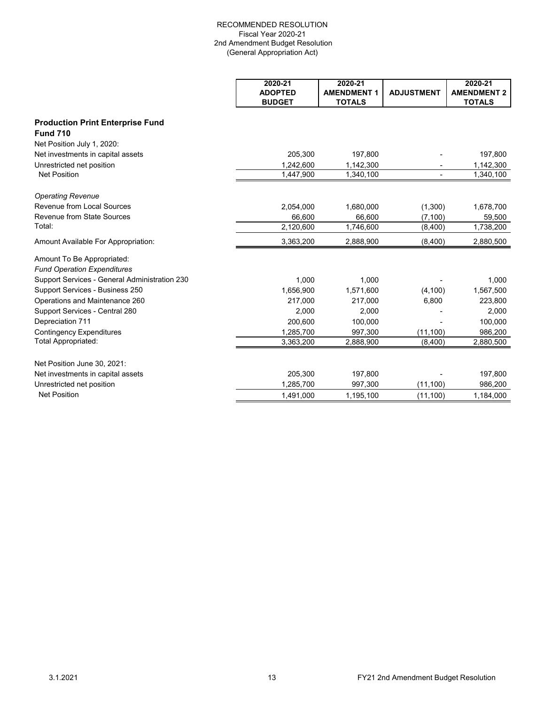|                                               | 2020-21        | 2020-21            |                          | 2020-21            |
|-----------------------------------------------|----------------|--------------------|--------------------------|--------------------|
|                                               | <b>ADOPTED</b> | <b>AMENDMENT 1</b> | <b>ADJUSTMENT</b>        | <b>AMENDMENT 2</b> |
|                                               | <b>BUDGET</b>  | <b>TOTALS</b>      |                          | <b>TOTALS</b>      |
| <b>Production Print Enterprise Fund</b>       |                |                    |                          |                    |
| <b>Fund 710</b>                               |                |                    |                          |                    |
| Net Position July 1, 2020:                    |                |                    |                          |                    |
| Net investments in capital assets             | 205,300        | 197,800            |                          | 197,800            |
| Unrestricted net position                     | 1,242,600      | 1,142,300          |                          | 1,142,300          |
| <b>Net Position</b>                           | 1,447,900      | 1,340,100          | $\overline{\phantom{0}}$ | 1,340,100          |
| <b>Operating Revenue</b>                      |                |                    |                          |                    |
| Revenue from Local Sources                    | 2,054,000      | 1,680,000          | (1,300)                  | 1,678,700          |
| Revenue from State Sources                    | 66,600         | 66,600             | (7, 100)                 | 59,500             |
| Total:                                        | 2,120,600      | 1,746,600          | (8,400)                  | 1,738,200          |
| Amount Available For Appropriation:           | 3,363,200      | 2,888,900          | (8,400)                  | 2,880,500          |
| Amount To Be Appropriated:                    |                |                    |                          |                    |
| <b>Fund Operation Expenditures</b>            |                |                    |                          |                    |
| Support Services - General Administration 230 | 1.000          | 1.000              |                          | 1.000              |
| Support Services - Business 250               | 1,656,900      | 1,571,600          | (4, 100)                 | 1,567,500          |
| Operations and Maintenance 260                | 217.000        | 217,000            | 6,800                    | 223,800            |
| Support Services - Central 280                | 2,000          | 2,000              |                          | 2,000              |
| Depreciation 711                              | 200,600        | 100,000            |                          | 100,000            |
| <b>Contingency Expenditures</b>               | 1,285,700      | 997,300            | (11, 100)                | 986,200            |
| Total Appropriated:                           | 3,363,200      | 2,888,900          | (8,400)                  | 2,880,500          |
| Net Position June 30, 2021:                   |                |                    |                          |                    |
| Net investments in capital assets             | 205,300        | 197,800            |                          | 197,800            |
| Unrestricted net position                     | 1,285,700      | 997,300            | (11, 100)                | 986,200            |
| <b>Net Position</b>                           | 1,491,000      | 1,195,100          | (11, 100)                | 1,184,000          |